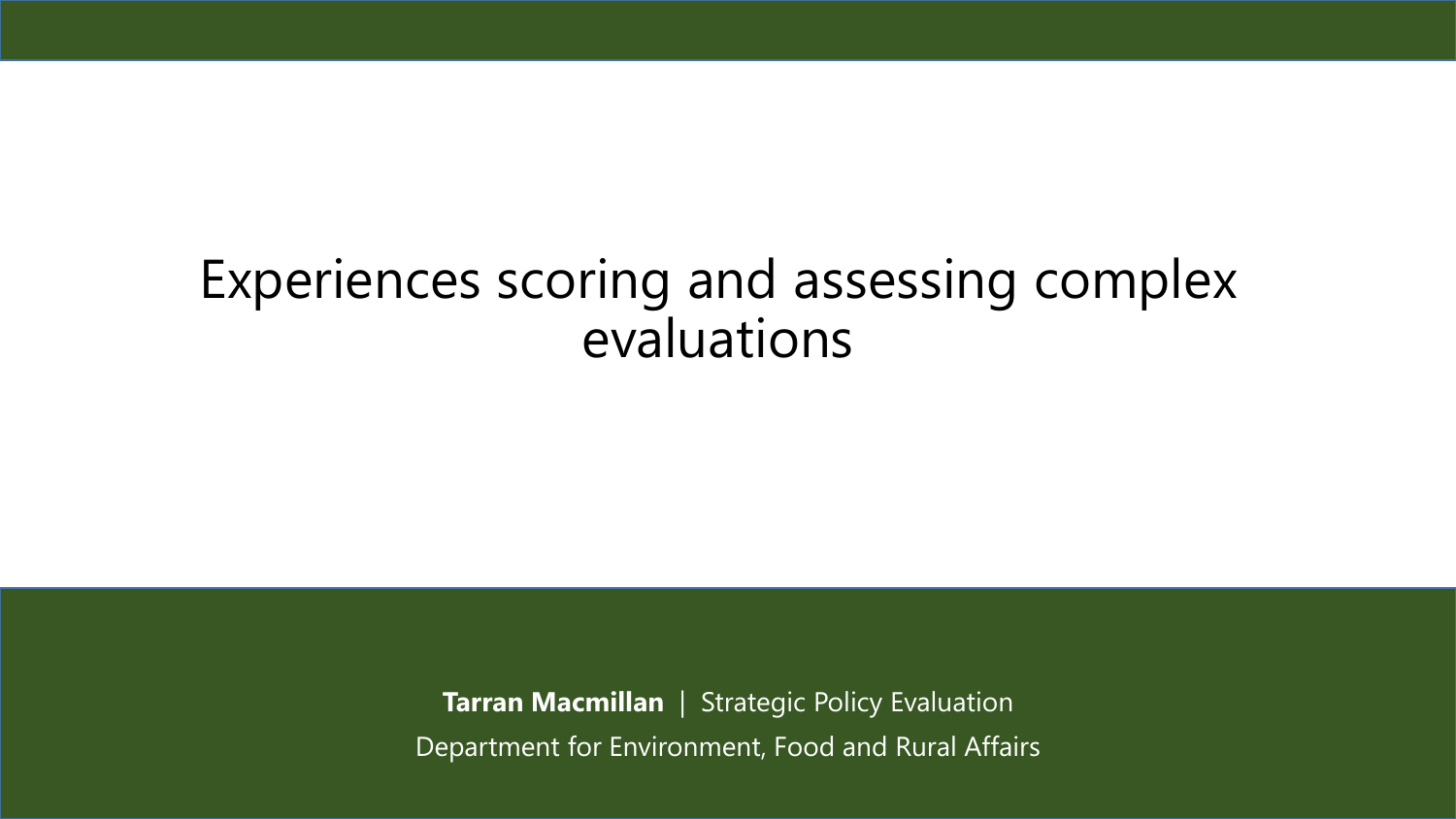### Experiences scoring and assessing complex evaluations

**Tarran Macmillan** | Strategic Policy Evaluation Department for Environment, Food and Rural Affairs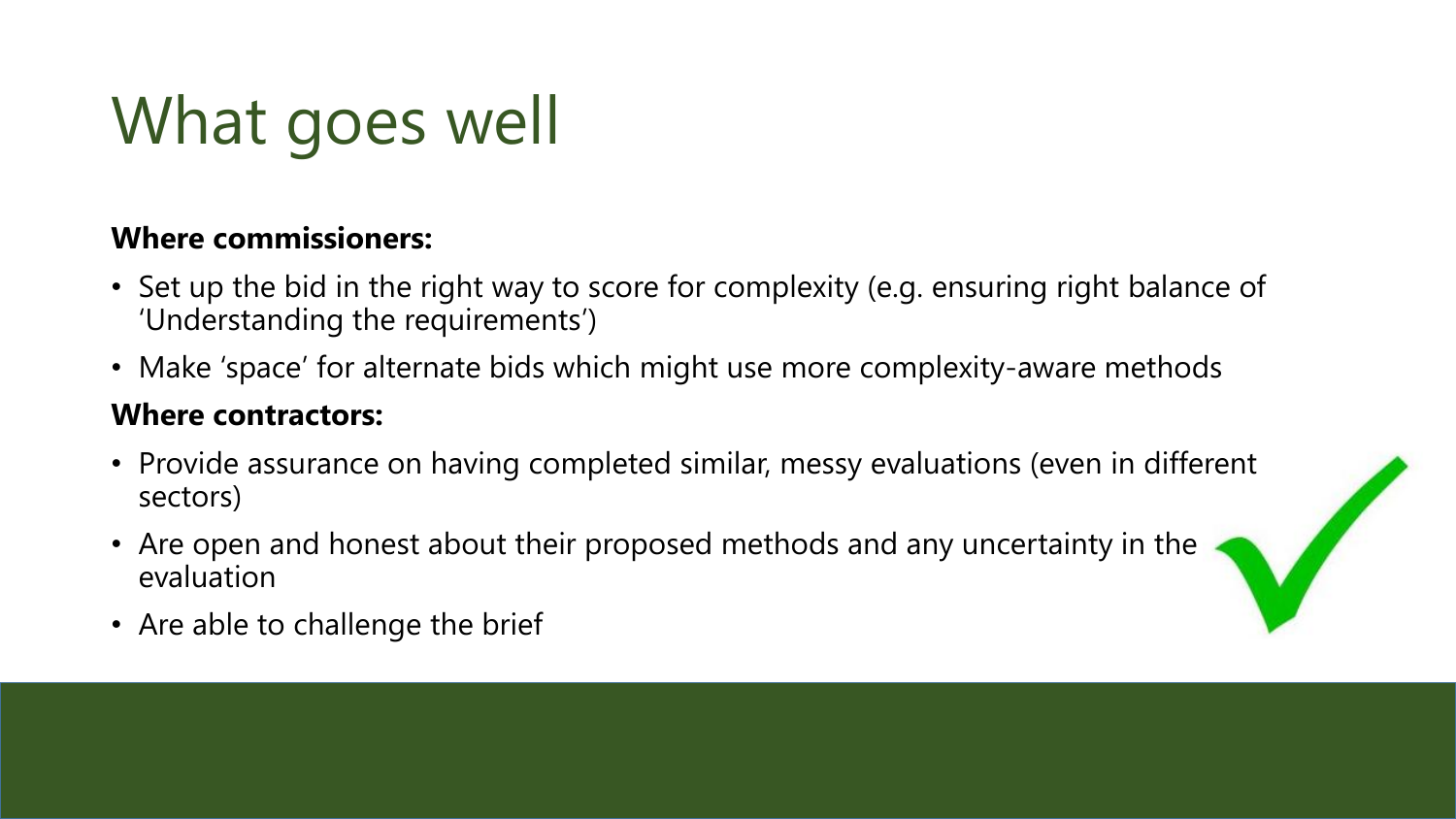# What goes well

#### **Where commissioners:**

- Set up the bid in the right way to score for complexity (e.g. ensuring right balance of 'Understanding the requirements')
- Make 'space' for alternate bids which might use more complexity-aware methods

#### **Where contractors:**

- Provide assurance on having completed similar, messy evaluations (even in different sectors)
- Are open and honest about their proposed methods and any uncertainty in the evaluation



• Are able to challenge the brief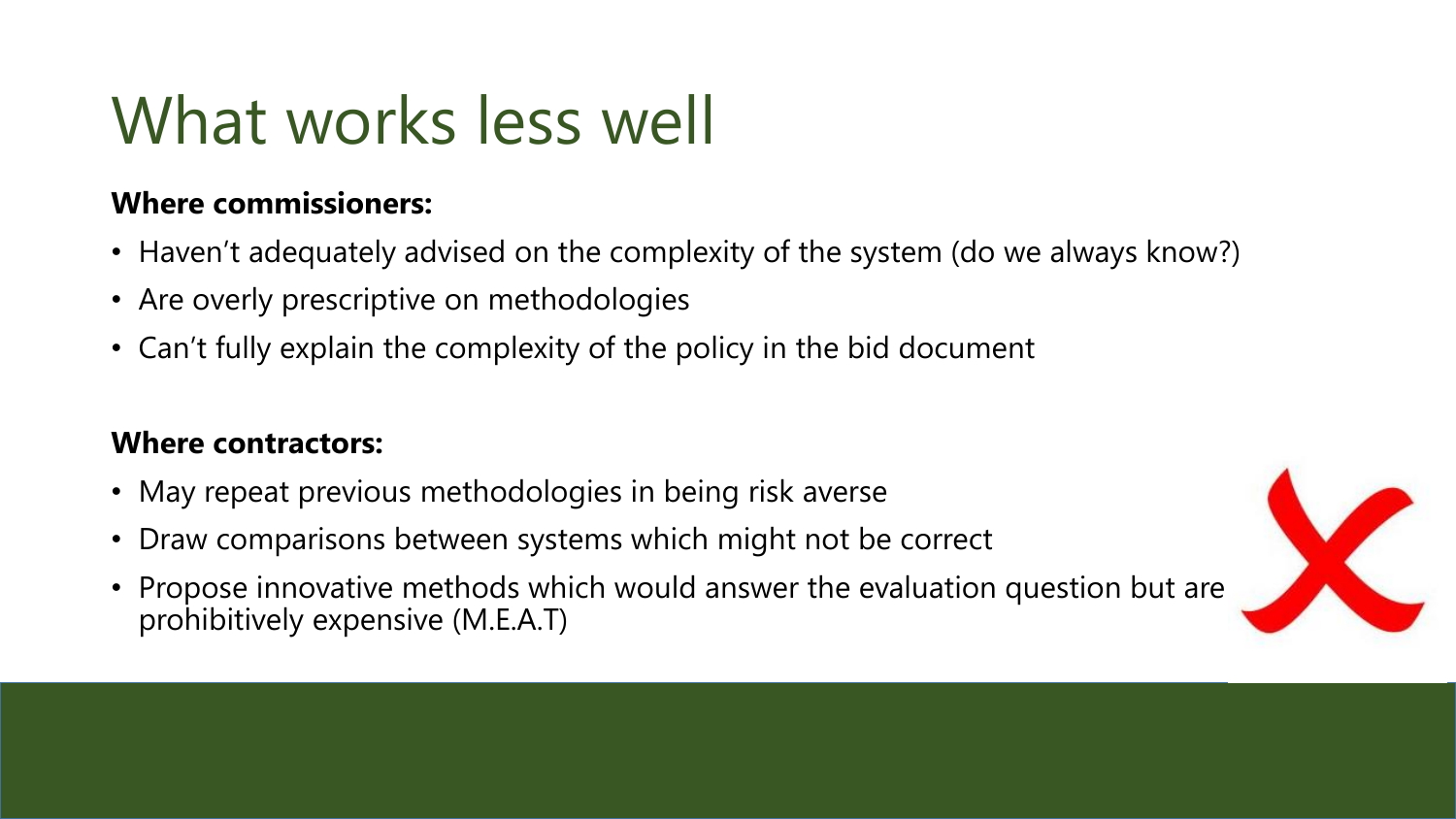## What works less well

### **Where commissioners:**

- Haven't adequately advised on the complexity of the system (do we always know?)
- Are overly prescriptive on methodologies
- Can't fully explain the complexity of the policy in the bid document

### **Where contractors:**

- May repeat previous methodologies in being risk averse
- Draw comparisons between systems which might not be correct
- Propose innovative methods which would answer the evaluation question but are prohibitively expensive (M.E.A.T)

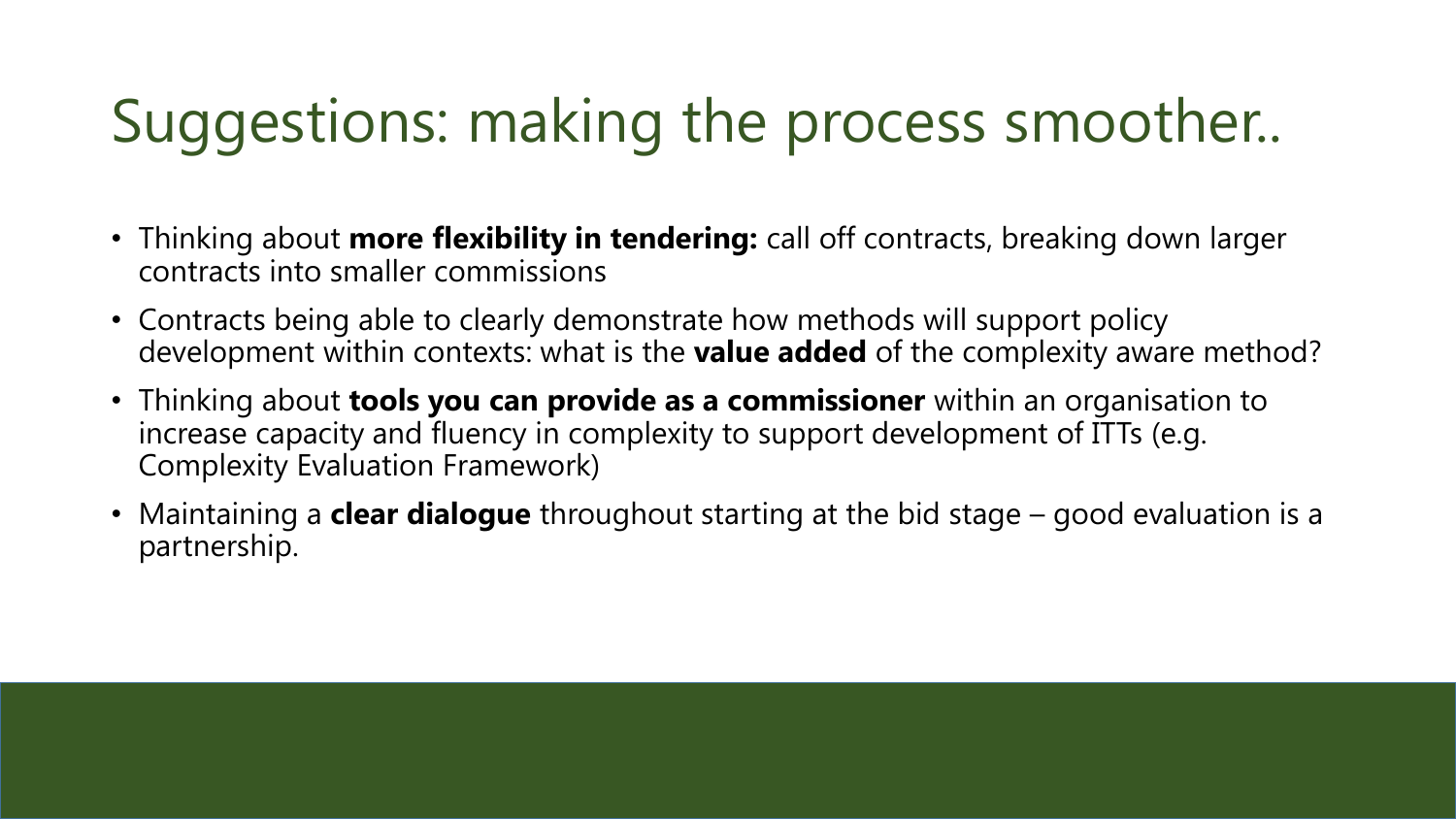### Suggestions: making the process smoother..

- Thinking about **more flexibility in tendering:** call off contracts, breaking down larger contracts into smaller commissions
- Contracts being able to clearly demonstrate how methods will support policy development within contexts: what is the **value added** of the complexity aware method?
- Thinking about **tools you can provide as a commissioner** within an organisation to increase capacity and fluency in complexity to support development of ITTs (e.g. Complexity Evaluation Framework)
- Maintaining a **clear dialogue** throughout starting at the bid stage good evaluation is a partnership.